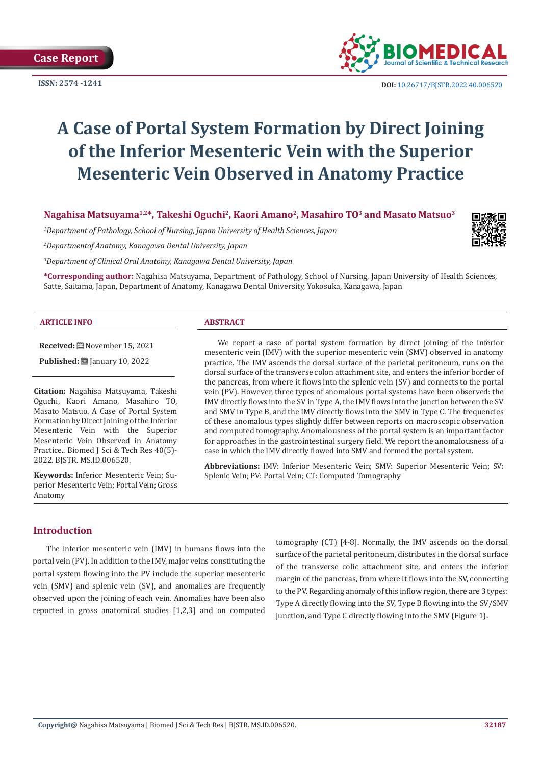

**ISSN: 2574 -1241 DOI:** [10.26717/BJSTR.2022.40.006520](https://dx.doi.org/10.26717/BJSTR.2022.40.006520)

# **A Case of Portal System Formation by Direct Joining of the Inferior Mesenteric Vein with the Superior Mesenteric Vein Observed in Anatomy Practice**

**Nagahisa Matsuyama1,2\*, Takeshi Oguchi2, Kaori Amano2, Masahiro TO3 and Masato Matsuo3**

*1 Department of Pathology, School of Nursing, Japan University of Health Sciences, Japan*

*2 Departmentof Anatomy, Kanagawa Dental University, Japan*

*3 Department of Clinical Oral Anatomy, Kanagawa Dental University, Japan*

**\*Corresponding author:** Nagahisa Matsuyama, Department of Pathology, School of Nursing, Japan University of Health Sciences, Satte, Saitama, Japan, Department of Anatomy, Kanagawa Dental University, Yokosuka, Kanagawa, Japan

#### **ARTICLE INFO ABSTRACT**

**Received:** November 15, 2021

**Published:** [2010] January 10, 2022

**Citation:** Nagahisa Matsuyama, Takeshi Oguchi, Kaori Amano, Masahiro TO, Masato Matsuo. A Case of Portal System Formation by Direct Joining of the Inferior Mesenteric Vein with the Superior Mesenteric Vein Observed in Anatomy Practice.. Biomed J Sci & Tech Res 40(5)- 2022. BJSTR. MS.ID.006520.

**Keywords:** Inferior Mesenteric Vein; Superior Mesenteric Vein; Portal Vein; Gross Anatomy

We report a case of portal system formation by direct joining of the inferior mesenteric vein (IMV) with the superior mesenteric vein (SMV) observed in anatomy practice. The IMV ascends the dorsal surface of the parietal peritoneum, runs on the dorsal surface of the transverse colon attachment site, and enters the inferior border of the pancreas, from where it flows into the splenic vein (SV) and connects to the portal vein (PV). However, three types of anomalous portal systems have been observed: the IMV directly flows into the SV in Type A, the IMV flows into the junction between the SV and SMV in Type B, and the IMV directly flows into the SMV in Type C. The frequencies of these anomalous types slightly differ between reports on macroscopic observation and computed tomography. Anomalousness of the portal system is an important factor for approaches in the gastrointestinal surgery field. We report the anomalousness of a case in which the IMV directly flowed into SMV and formed the portal system.

**Abbreviations:** IMV: Inferior Mesenteric Vein; SMV: Superior Mesenteric Vein; SV: Splenic Vein; PV: Portal Vein; CT: Computed Tomography

# **Introduction**

The inferior mesenteric vein (IMV) in humans flows into the portal vein (PV). In addition to the IMV, major veins constituting the portal system flowing into the PV include the superior mesenteric vein (SMV) and splenic vein (SV), and anomalies are frequently observed upon the joining of each vein. Anomalies have been also reported in gross anatomical studies [1,2,3] and on computed tomography (CT) [4-8]. Normally, the IMV ascends on the dorsal surface of the parietal peritoneum, distributes in the dorsal surface of the transverse colic attachment site, and enters the inferior margin of the pancreas, from where it flows into the SV, connecting to the PV. Regarding anomaly of this inflow region, there are 3 types: Type A directly flowing into the SV, Type B flowing into the SV/SMV junction, and Type C directly flowing into the SMV (Figure 1).

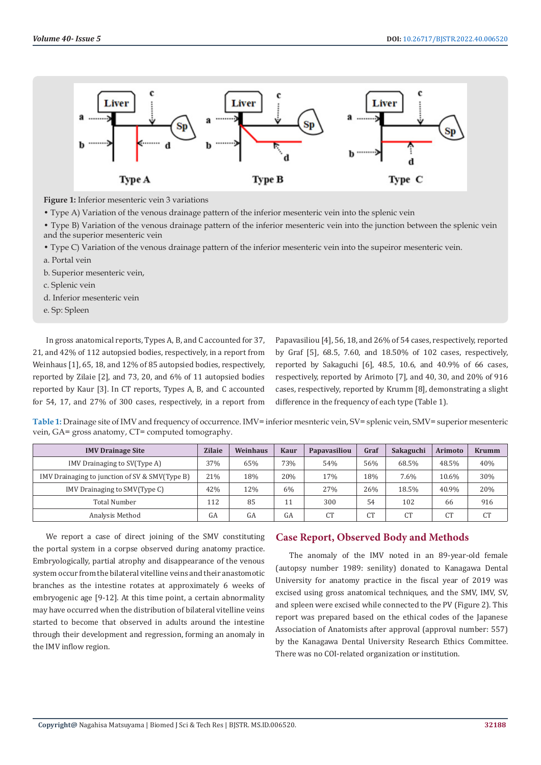

**Figure 1:** Inferior mesenteric vein 3 variations

• Type A) Variation of the venous drainage pattern of the inferior mesenteric vein into the splenic vein

• Type B) Variation of the venous drainage pattern of the inferior mesenteric vein into the junction between the splenic vein and the superior mesenteric vein

• Type C) Variation of the venous drainage pattern of the inferior mesenteric vein into the supeiror mesenteric vein.

- a. Portal vein
- b. Superior mesenteric vein,
- c. Splenic vein
- d. Inferior mesenteric vein

e. Sp: Spleen

In gross anatomical reports, Types A, B, and C accounted for 37, 21, and 42% of 112 autopsied bodies, respectively, in a report from Weinhaus [1], 65, 18, and 12% of 85 autopsied bodies, respectively, reported by Zilaie [2], and 73, 20, and 6% of 11 autopsied bodies reported by Kaur [3]. In CT reports, Types A, B, and C accounted for 54, 17, and 27% of 300 cases, respectively, in a report from

Papavasiliou [4], 56, 18, and 26% of 54 cases, respectively, reported by Graf [5], 68.5, 7.60, and 18.50% of 102 cases, respectively, reported by Sakaguchi [6], 48.5, 10.6, and 40.9% of 66 cases, respectively, reported by Arimoto [7], and 40, 30, and 20% of 916 cases, respectively, reported by Krumm [8], demonstrating a slight difference in the frequency of each type (Table 1).

**Table 1:** Drainage site of IMV and frequency of occurrence. IMV= inferior mesnteric vein, SV= splenic vein, SMV= superior mesenteric vein, GA= gross anatomy, CT= computed tomography.

| <b>IMV Drainage Site</b>                       | <b>Zilaie</b> | Weinhaus | <b>Kaur</b> | Papavasiliou | Graf           | Sakaguchi | <b>Arimoto</b> | <b>Krumm</b>   |
|------------------------------------------------|---------------|----------|-------------|--------------|----------------|-----------|----------------|----------------|
| IMV Drainaging to SV(Type A)                   | 37%           | 65%      | 73%         | 54%          | 56%            | 68.5%     | 48.5%          | 40%            |
| IMV Drainaging to junction of SV & SMV(Type B) | 21%           | 18%      | 20%         | 17%          | 18%            | 7.6%      | 10.6%          | 30%            |
| IMV Drainaging to SMV(Type C)                  | 42%           | 12%      | 6%          | 27%          | 26%            | 18.5%     | 40.9%          | 20%            |
| <b>Total Number</b>                            | 112           | 85       | 11          | 300          | 54             | 102       | 66             | 916            |
| Analysis Method                                | GA            | GA       | GA          | CТ           | C <sub>T</sub> | <b>CT</b> | C <sub>T</sub> | C <sub>T</sub> |

We report a case of direct joining of the SMV constituting the portal system in a corpse observed during anatomy practice. Embryologically, partial atrophy and disappearance of the venous system occur from the bilateral vitelline veins and their anastomotic branches as the intestine rotates at approximately 6 weeks of embryogenic age [9-12]. At this time point, a certain abnormality may have occurred when the distribution of bilateral vitelline veins started to become that observed in adults around the intestine through their development and regression, forming an anomaly in the IMV inflow region.

# **Case Report, Observed Body and Methods**

The anomaly of the IMV noted in an 89-year-old female (autopsy number 1989: senility) donated to Kanagawa Dental University for anatomy practice in the fiscal year of 2019 was excised using gross anatomical techniques, and the SMV, IMV, SV, and spleen were excised while connected to the PV (Figure 2). This report was prepared based on the ethical codes of the Japanese Association of Anatomists after approval (approval number: 557) by the Kanagawa Dental University Research Ethics Committee. There was no COI-related organization or institution.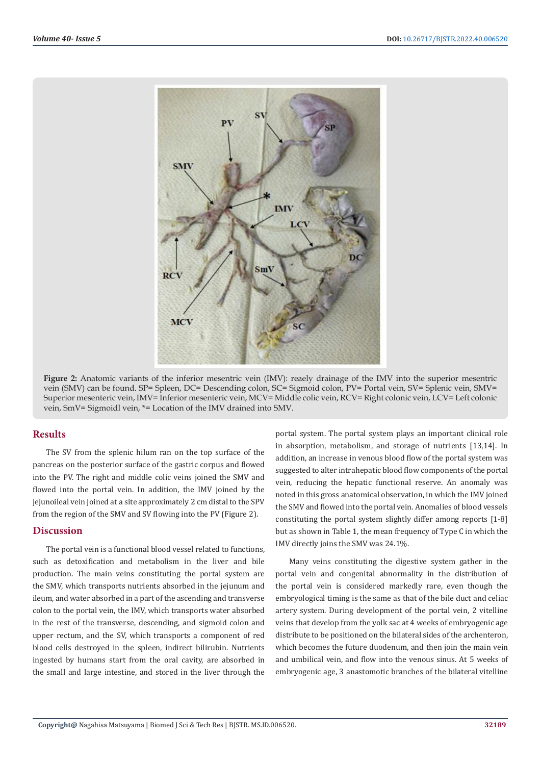

**Figure 2:** Anatomic variants of the inferior mesentric vein (IMV): reaely drainage of the IMV into the superior mesentric vein (SMV) can be found. SP= Spleen, DC= Descending colon, SC= Sigmoid colon, PV= Portal vein, SV= Splenic vein, SMV= Superior mesenteric vein, IMV= Inferior mesenteric vein, MCV= Middle colic vein, RCV= Right colonic vein, LCV= Left colonic vein, SmV= Sigmoidl vein, \*= Location of the IMV drained into SMV.

#### **Results**

The SV from the splenic hilum ran on the top surface of the pancreas on the posterior surface of the gastric corpus and flowed into the PV. The right and middle colic veins joined the SMV and flowed into the portal vein. In addition, the IMV joined by the jejunoileal vein joined at a site approximately 2 cm distal to the SPV from the region of the SMV and SV flowing into the PV (Figure 2).

# **Discussion**

The portal vein is a functional blood vessel related to functions, such as detoxification and metabolism in the liver and bile production. The main veins constituting the portal system are the SMV, which transports nutrients absorbed in the jejunum and ileum, and water absorbed in a part of the ascending and transverse colon to the portal vein, the IMV, which transports water absorbed in the rest of the transverse, descending, and sigmoid colon and upper rectum, and the SV, which transports a component of red blood cells destroyed in the spleen, indirect bilirubin. Nutrients ingested by humans start from the oral cavity, are absorbed in the small and large intestine, and stored in the liver through the

portal system. The portal system plays an important clinical role in absorption, metabolism, and storage of nutrients [13,14]. In addition, an increase in venous blood flow of the portal system was suggested to alter intrahepatic blood flow components of the portal vein, reducing the hepatic functional reserve. An anomaly was noted in this gross anatomical observation, in which the IMV joined the SMV and flowed into the portal vein. Anomalies of blood vessels constituting the portal system slightly differ among reports [1-8] but as shown in Table 1, the mean frequency of Type C in which the IMV directly joins the SMV was 24.1%.

Many veins constituting the digestive system gather in the portal vein and congenital abnormality in the distribution of the portal vein is considered markedly rare, even though the embryological timing is the same as that of the bile duct and celiac artery system. During development of the portal vein, 2 vitelline veins that develop from the yolk sac at 4 weeks of embryogenic age distribute to be positioned on the bilateral sides of the archenteron, which becomes the future duodenum, and then join the main vein and umbilical vein, and flow into the venous sinus. At 5 weeks of embryogenic age, 3 anastomotic branches of the bilateral vitelline